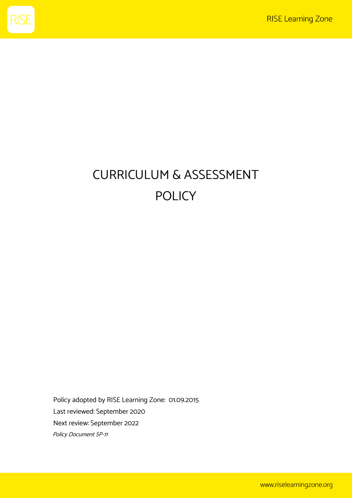

# CURRICULUM & ASSESSMENT POLICY

Policy adopted by RISE Learning Zone: 01.09.2015 Last reviewed: September 2020 Next review: September 2022 Policy Document SP-11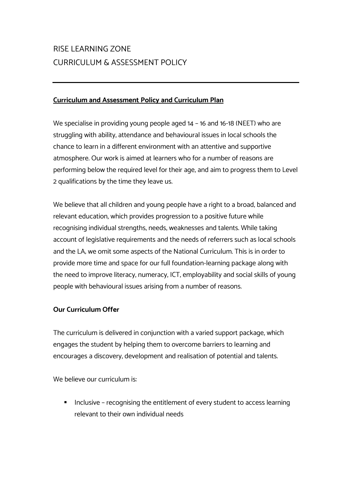# RISE LEARNING ZONE CURRICULUM & ASSESSMENT POLICY

#### **Curriculum and Assessment Policy and Curriculum Plan**

We specialise in providing young people aged 14 – 16 and 16-18 (NEET) who are struggling with ability, attendance and behavioural issues in local schools the chance to learn in a different environment with an attentive and supportive atmosphere. Our work is aimed at learners who for a number of reasons are performing below the required level for their age, and aim to progress them to Level 2 qualifications by the time they leave us.

We believe that all children and young people have a right to a broad, balanced and relevant education, which provides progression to a positive future while recognising individual strengths, needs, weaknesses and talents. While taking account of legislative requirements and the needs of referrers such as local schools and the LA; we omit some aspects of the National Curriculum. This is in order to provide more time and space for our full foundation-learning package along with the need to improve literacy, numeracy, ICT, employability and social skills of young people with behavioural issues arising from a number of reasons.

# **Our Curriculum Offer**

The curriculum is delivered in conjunction with a varied support package, which engages the student by helping them to overcome barriers to learning and encourages a discovery, development and realisation of potential and talents.

We believe our curriculum is:

Inclusive – recognising the entitlement of every student to access learning relevant to their own individual needs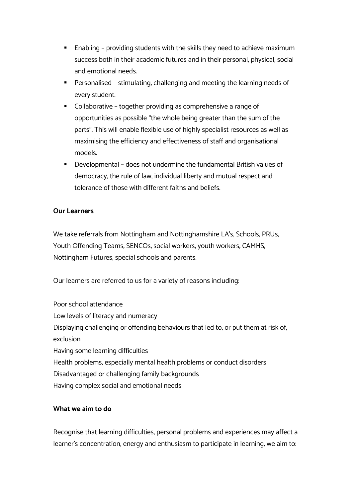- Enabling providing students with the skills they need to achieve maximum success both in their academic futures and in their personal, physical, social and emotional needs.
- Personalised stimulating, challenging and meeting the learning needs of every student.
- Collaborative together providing as comprehensive a range of opportunities as possible "the whole being greater than the sum of the parts". This will enable flexible use of highly specialist resources as well as maximising the efficiency and effectiveness of staff and organisational models.
- § Developmental does not undermine the fundamental British values of democracy, the rule of law, individual liberty and mutual respect and tolerance of those with different faiths and beliefs.

# **Our Learners**

We take referrals from Nottingham and Nottinghamshire LA's, Schools, PRUs, Youth Offending Teams, SENCOs, social workers, youth workers, CAMHS, Nottingham Futures, special schools and parents.

Our learners are referred to us for a variety of reasons including:

Poor school attendance Low levels of literacy and numeracy Displaying challenging or offending behaviours that led to, or put them at risk of, exclusion Having some learning difficulties Health problems, especially mental health problems or conduct disorders Disadvantaged or challenging family backgrounds Having complex social and emotional needs

#### **What we aim to do**

Recognise that learning difficulties, personal problems and experiences may affect a learner's concentration, energy and enthusiasm to participate in learning; we aim to: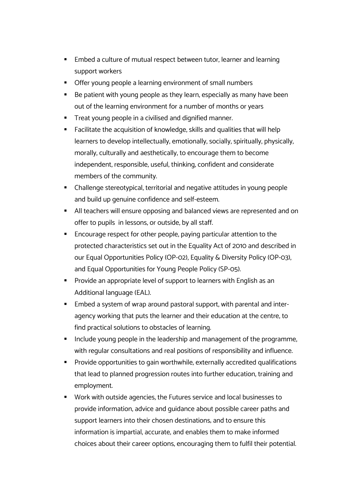- Embed a culture of mutual respect between tutor, learner and learning support workers
- Offer young people a learning environment of small numbers
- Be patient with young people as they learn, especially as many have been out of the learning environment for a number of months or years
- Treat young people in a civilised and dignified manner.
- Facilitate the acquisition of knowledge, skills and qualities that will help learners to develop intellectually, emotionally, socially, spiritually, physically, morally, culturally and aesthetically, to encourage them to become independent, responsible, useful, thinking, confident and considerate members of the community.
- Challenge stereotypical, territorial and negative attitudes in young people and build up genuine confidence and self-esteem.
- All teachers will ensure opposing and balanced views are represented and on offer to pupils in lessons, or outside, by all staff.
- Encourage respect for other people, paying particular attention to the protected characteristics set out in the Equality Act of 2010 and described in our Equal Opportunities Policy (OP-02), Equality & Diversity Policy (OP-03), and Equal Opportunities for Young People Policy (SP-05).
- Provide an appropriate level of support to learners with English as an Additional language (EAL).
- Embed a system of wrap around pastoral support, with parental and interagency working that puts the learner and their education at the centre, to find practical solutions to obstacles of learning.
- Include young people in the leadership and management of the programme, with regular consultations and real positions of responsibility and influence.
- Provide opportunities to gain worthwhile, externally accredited qualifications that lead to planned progression routes into further education, training and employment.
- Work with outside agencies, the Futures service and local businesses to provide information, advice and guidance about possible career paths and support learners into their chosen destinations; and to ensure this information is impartial, accurate, and enables them to make informed choices about their career options, encouraging them to fulfil their potential.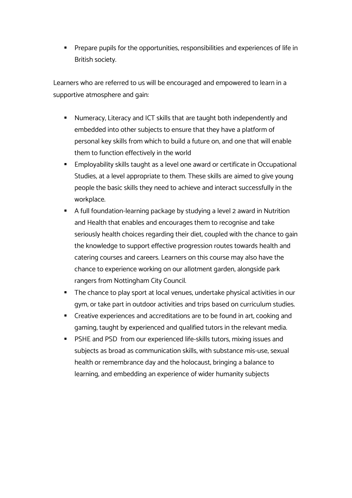Prepare pupils for the opportunities, responsibilities and experiences of life in British society.

Learners who are referred to us will be encouraged and empowered to learn in a supportive atmosphere and gain:

- § Numeracy, Literacy and ICT skills that are taught both independently and embedded into other subjects to ensure that they have a platform of personal key skills from which to build a future on, and one that will enable them to function effectively in the world
- Employability skills taught as a level one award or certificate in Occupational Studies, at a level appropriate to them. These skills are aimed to give young people the basic skills they need to achieve and interact successfully in the workplace.
- § A full foundation-learning package by studying a level 2 award in Nutrition and Health that enables and encourages them to recognise and take seriously health choices regarding their diet, coupled with the chance to gain the knowledge to support effective progression routes towards health and catering courses and careers. Learners on this course may also have the chance to experience working on our allotment garden, alongside park rangers from Nottingham City Council.
- The chance to play sport at local venues, undertake physical activities in our gym, or take part in outdoor activities and trips based on curriculum studies.
- Creative experiences and accreditations are to be found in art, cooking and gaming, taught by experienced and qualified tutors in the relevant media.
- PSHE and PSD from our experienced life-skills tutors, mixing issues and subjects as broad as communication skills, with substance mis-use, sexual health or remembrance day and the holocaust, bringing a balance to learning, and embedding an experience of wider humanity subjects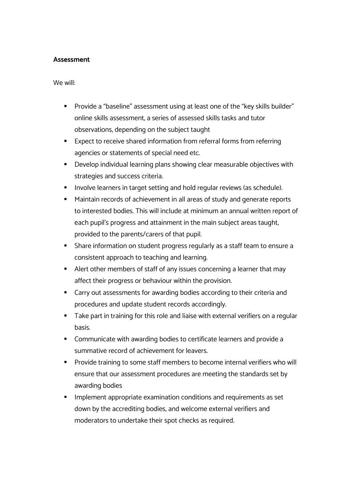#### **Assessment**

We will:

- § Provide a "baseline" assessment using at least one of the "key skills builder" online skills assessment, a series of assessed skills tasks and tutor observations, depending on the subject taught
- Expect to receive shared information from referral forms from referring agencies or statements of special need etc.
- Develop individual learning plans showing clear measurable objectives with strategies and success criteria.
- **■** Involve learners in target setting and hold regular reviews (as schedule).
- Maintain records of achievement in all areas of study and generate reports to interested bodies. This will include at minimum an annual written report of each pupil's progress and attainment in the main subject areas taught, provided to the parents/carers of that pupil.
- § Share information on student progress regularly as a staff team to ensure a consistent approach to teaching and learning.
- Alert other members of staff of any issues concerning a learner that may affect their progress or behaviour within the provision.
- Carry out assessments for awarding bodies according to their criteria and procedures and update student records accordingly.
- Take part in training for this role and liaise with external verifiers on a regular basis.
- Communicate with awarding bodies to certificate learners and provide a summative record of achievement for leavers.
- Provide training to some staff members to become internal verifiers who will ensure that our assessment procedures are meeting the standards set by awarding bodies
- Implement appropriate examination conditions and requirements as set down by the accrediting bodies, and welcome external verifiers and moderators to undertake their spot checks as required.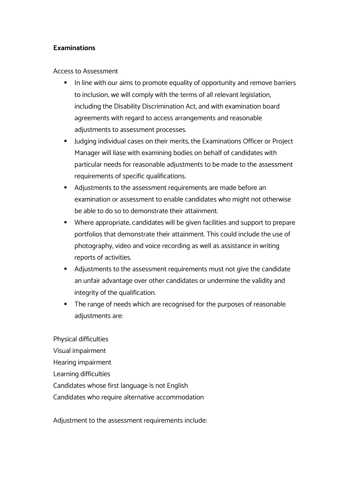#### **Examinations**

Access to Assessment

- In line with our aims to promote equality of opportunity and remove barriers to inclusion, we will comply with the terms of all relevant legislation, including the Disability Discrimination Act, and with examination board agreements with regard to access arrangements and reasonable adjustments to assessment processes.
- Judging individual cases on their merits, the Examinations Officer or Project Manager will liase with examining bodies on behalf of candidates with particular needs for reasonable adjustments to be made to the assessment requirements of specific qualifications.
- Adjustments to the assessment requirements are made before an examination or assessment to enable candidates who might not otherwise be able to do so to demonstrate their attainment.
- Where appropriate, candidates will be given facilities and support to prepare portfolios that demonstrate their attainment. This could include the use of photography, video and voice recording as well as assistance in writing reports of activities.
- Adjustments to the assessment requirements must not give the candidate an unfair advantage over other candidates or undermine the validity and integrity of the qualification.
- The range of needs which are recognised for the purposes of reasonable adiustments are:

Physical difficulties Visual impairment Hearing impairment Learning difficulties Candidates whose first language is not English Candidates who require alternative accommodation

Adjustment to the assessment requirements include: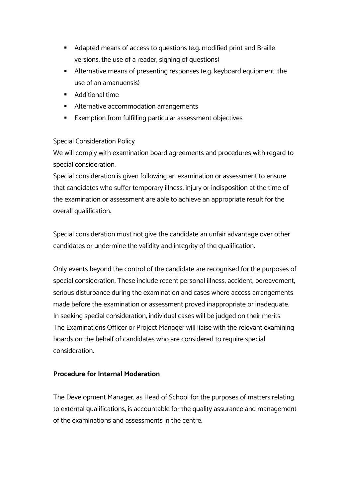- Adapted means of access to questions (e.g. modified print and Braille versions, the use of a reader, signing of questions)
- Alternative means of presenting responses (e.g. keyboard equipment, the use of an amanuensis)
- Additional time
- **EXE** Alternative accommodation arrangements
- Exemption from fulfilling particular assessment objectives

# Special Consideration Policy

We will comply with examination board agreements and procedures with regard to special consideration.

Special consideration is given following an examination or assessment to ensure that candidates who suffer temporary illness, injury or indisposition at the time of the examination or assessment are able to achieve an appropriate result for the overall qualification.

Special consideration must not give the candidate an unfair advantage over other candidates or undermine the validity and integrity of the qualification.

Only events beyond the control of the candidate are recognised for the purposes of special consideration. These include recent personal illness, accident, bereavement, serious disturbance during the examination and cases where access arrangements made before the examination or assessment proved inappropriate or inadequate. In seeking special consideration, individual cases will be judged on their merits. The Examinations Officer or Project Manager will liaise with the relevant examining boards on the behalf of candidates who are considered to require special consideration.

# **Procedure for Internal Moderation**

The Development Manager, as Head of School for the purposes of matters relating to external qualifications, is accountable for the quality assurance and management of the examinations and assessments in the centre.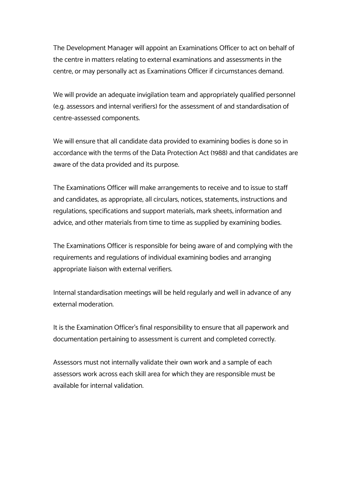The Development Manager will appoint an Examinations Officer to act on behalf of the centre in matters relating to external examinations and assessments in the centre, or may personally act as Examinations Officer if circumstances demand.

We will provide an adequate invigilation team and appropriately qualified personnel (e.g. assessors and internal verifiers) for the assessment of and standardisation of centre-assessed components.

We will ensure that all candidate data provided to examining bodies is done so in accordance with the terms of the Data Protection Act (1988) and that candidates are aware of the data provided and its purpose.

The Examinations Officer will make arrangements to receive and to issue to staff and candidates, as appropriate, all circulars, notices, statements, instructions and regulations, specifications and support materials, mark sheets, information and advice, and other materials from time to time as supplied by examining bodies.

The Examinations Officer is responsible for being aware of and complying with the requirements and regulations of individual examining bodies and arranging appropriate liaison with external verifiers.

Internal standardisation meetings will be held regularly and well in advance of any external moderation.

It is the Examination Officer's final responsibility to ensure that all paperwork and documentation pertaining to assessment is current and completed correctly.

Assessors must not internally validate their own work and a sample of each assessors work across each skill area for which they are responsible must be available for internal validation.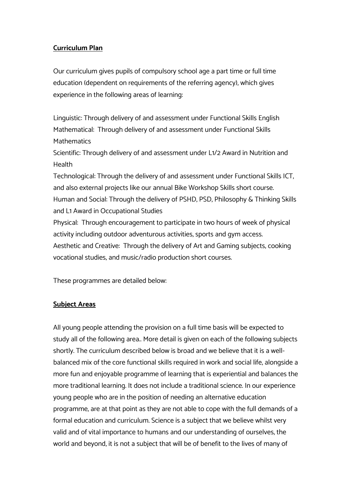# **Curriculum Plan**

Our curriculum gives pupils of compulsory school age a part time or full time education (dependent on requirements of the referring agency), which gives experience in the following areas of learning:

Linguistic: Through delivery of and assessment under Functional Skills English Mathematical: Through delivery of and assessment under Functional Skills **Mathematics** 

Scientific: Through delivery of and assessment under L1/2 Award in Nutrition and Health

Technological: Through the delivery of and assessment under Functional Skills ICT, and also external projects like our annual Bike Workshop Skills short course. Human and Social: Through the delivery of PSHD, PSD, Philosophy & Thinking Skills and L1 Award in Occupational Studies

Physical: Through encouragement to participate in two hours of week of physical activity including outdoor adventurous activities, sports and gym access. Aesthetic and Creative: Through the delivery of Art and Gaming subjects, cooking vocational studies, and music/radio production short courses.

These programmes are detailed below:

# **Subject Areas**

All young people attending the provision on a full time basis will be expected to study all of the following area.. More detail is given on each of the following subjects shortly. The curriculum described below is broad and we believe that it is a wellbalanced mix of the core functional skills required in work and social life, alongside a more fun and enjoyable programme of learning that is experiential and balances the more traditional learning. It does not include a traditional science. In our experience young people who are in the position of needing an alternative education programme, are at that point as they are not able to cope with the full demands of a formal education and curriculum. Science is a subject that we believe whilst very valid and of vital importance to humans and our understanding of ourselves, the world and beyond, it is not a subject that will be of benefit to the lives of many of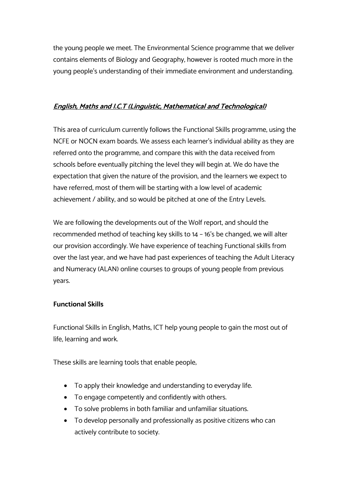the young people we meet. The Environmental Science programme that we deliver contains elements of Biology and Geography, however is rooted much more in the young people's understanding of their immediate environment and understanding.

#### **English, Maths and I.C.T (Linguistic, Mathematical and Technological)**

This area of curriculum currently follows the Functional Skills programme, using the NCFE or NOCN exam boards. We assess each learner's individual ability as they are referred onto the programme, and compare this with the data received from schools before eventually pitching the level they will begin at. We do have the expectation that given the nature of the provision, and the learners we expect to have referred, most of them will be starting with a low level of academic achievement / ability, and so would be pitched at one of the Entry Levels.

We are following the developments out of the Wolf report, and should the recommended method of teaching key skills to 14 – 16's be changed, we will alter our provision accordingly. We have experience of teaching Functional skills from over the last year, and we have had past experiences of teaching the Adult Literacy and Numeracy (ALAN) online courses to groups of young people from previous years.

#### **Functional Skills**

Functional Skills in English, Maths, ICT help young people to gain the most out of life, learning and work.

These skills are learning tools that enable people;

- To apply their knowledge and understanding to everyday life.
- To engage competently and confidently with others.
- To solve problems in both familiar and unfamiliar situations.
- To develop personally and professionally as positive citizens who can actively contribute to society.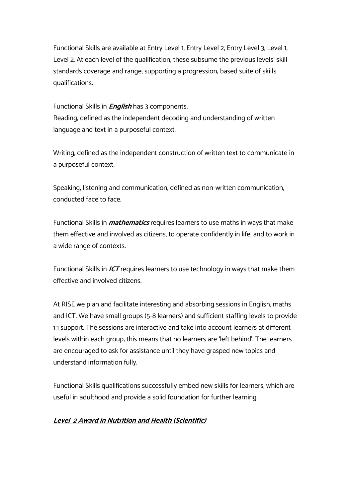Functional Skills are available at Entry Level 1, Entry Level 2, Entry Level 3, Level 1, Level 2. At each level of the qualification, these subsume the previous levels' skill standards coverage and range, supporting a progression; based suite of skills qualifications.

Functional Skills in **English** has 3 components; Reading; defined as the independent decoding and understanding of written language and text in a purposeful context.

Writing; defined as the independent construction of written text to communicate in a purposeful context.

Speaking, listening and communication; defined as non-written communication, conducted face to face.

Functional Skills in **mathematics** requires learners to use maths in ways that make them effective and involved as citizens, to operate confidently in life, and to work in a wide range of contexts.

Functional Skills in **ICT** requires learners to use technology in ways that make them effective and involved citizens.

At RISE we plan and facilitate interesting and absorbing sessions in English, maths and ICT. We have small groups (5-8 learners) and sufficient staffing levels to provide 1:1 support. The sessions are interactive and take into account learners at different levels within each group; this means that no learners are 'left behind'. The learners are encouraged to ask for assistance until they have grasped new topics and understand information fully.

Functional Skills qualifications successfully embed new skills for learners, which are useful in adulthood and provide a solid foundation for further learning.

# **Level 2 Award in Nutrition and Health (Scientific)**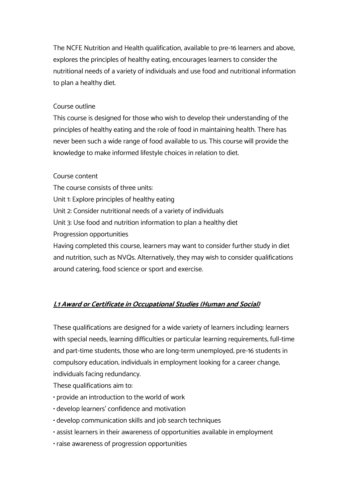The NCFE Nutrition and Health qualification, available to pre-16 learners and above, explores the principles of healthy eating, encourages learners to consider the nutritional needs of a variety of individuals and use food and nutritional information to plan a healthy diet.

#### Course outline

This course is designed for those who wish to develop their understanding of the principles of healthy eating and the role of food in maintaining health. There has never been such a wide range of food available to us. This course will provide the knowledge to make informed lifestyle choices in relation to diet.

#### Course content

The course consists of three units: Unit 1: Explore principles of healthy eating Unit 2: Consider nutritional needs of a variety of individuals Unit 3: Use food and nutrition information to plan a healthy diet Progression opportunities Having completed this course, learners may want to consider further study in diet and nutrition, such as NVQs. Alternatively, they may wish to consider qualifications around catering, food science or sport and exercise.

# **L1 Award or Certificate in Occupational Studies (Human and Social)**

These qualifications are designed for a wide variety of learners including: learners with special needs, learning difficulties or particular learning requirements; full-time and part-time students; those who are long-term unemployed; pre-16 students in compulsory education; individuals in employment looking for a career change; individuals facing redundancy.

These qualifications aim to:

- provide an introduction to the world of work
- develop learners' confidence and motivation
- develop communication skills and job search techniques
- assist learners in their awareness of opportunities available in employment
- raise awareness of progression opportunities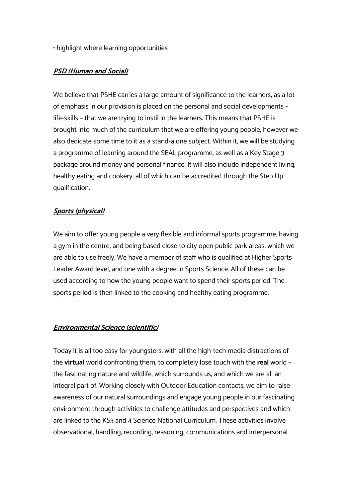• highlight where learning opportunities

# **PSD (Human and Social)**

We believe that PSHE carries a large amount of significance to the learners, as a lot of emphasis in our provision is placed on the personal and social developments – life-skills – that we are trying to instil in the learners. This means that PSHE is brought into much of the curriculum that we are offering young people, however we also dedicate some time to it as a stand-alone subject. Within it, we will be studying a programme of learning around the SEAL programme, as well as a Key Stage 3 package around money and personal finance. It will also include independent living, healthy eating and cookery, all of which can be accredited through the Step Up qualification.

# **Sports (physical)**

We aim to offer young people a very flexible and informal sports programme, having a gym in the centre, and being based close to city open public park areas, which we are able to use freely. We have a member of staff who is qualified at Higher Sports Leader Award level, and one with a degree in Sports Science. All of these can be used according to how the young people want to spend their sports period. The sports period is then linked to the cooking and healthy eating programme.

# **Environmental Science (scientific)**

Today it is all too easy for youngsters, with all the high-tech media distractions of the **virtual** world confronting them, to completely lose touch with the **real** world – the fascinating nature and wildlife, which surrounds us, and which we are all an integral part of. Working closely with Outdoor Education contacts, we aim to raise awareness of our natural surroundings and engage young people in our fascinating environment through activities to challenge attitudes and perspectives and which are linked to the KS3 and 4 Science National Curriculum. These activities involve observational, handling, recording, reasoning, communications and interpersonal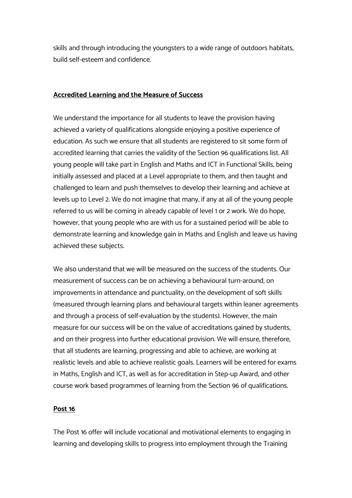skills and through introducing the youngsters to a wide range of outdoors habitats, build self-esteem and confidence.

#### **Accredited Learning and the Measure of Success**

We understand the importance for all students to leave the provision having achieved a variety of qualifications alongside enjoying a positive experience of education. As such we ensure that all students are registered to sit some form of accredited learning that carries the validity of the Section 96 qualifications list. All young people will take part in English and Maths and ICT in Functional Skills, being initially assessed and placed at a Level appropriate to them, and then taught and challenged to learn and push themselves to develop their learning and achieve at levels up to Level 2. We do not imagine that many, if any at all of the young people referred to us will be coming in already capable of level 1 or 2 work. We do hope, however, that young people who are with us for a sustained period will be able to demonstrate learning and knowledge gain in Maths and English and leave us having achieved these subjects.

We also understand that we will be measured on the success of the students. Our measurement of success can be on achieving a behavioural turn-around, on improvements in attendance and punctuality, on the development of soft skills (measured through learning plans and behavioural targets within leaner agreements and through a process of self-evaluation by the students). However, the main measure for our success will be on the value of accreditations gained by students, and on their progress into further educational provision. We will ensure, therefore, that all students are learning, progressing and able to achieve, are working at realistic levels and able to achieve realistic goals. Learners will be entered for exams in Maths, English and ICT, as well as for accreditation in Step-up Award, and other course work based programmes of learning from the Section 96 of qualifications.

# **Post 16**

The Post 16 offer will include vocational and motivational elements to engaging in learning and developing skills to progress into employment through the Training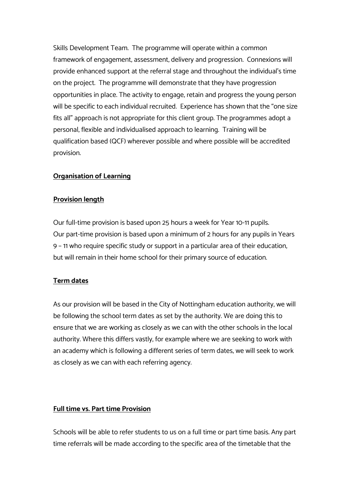Skills Development Team. The programme will operate within a common framework of engagement, assessment, delivery and progression. Connexions will provide enhanced support at the referral stage and throughout the individual's time on the project. The programme will demonstrate that they have progression opportunities in place. The activity to engage, retain and progress the young person will be specific to each individual recruited. Experience has shown that the "one size fits all" approach is not appropriate for this client group. The programmes adopt a personal, flexible and individualised approach to learning. Training will be qualification based (QCF) wherever possible and where possible will be accredited provision.

#### **Organisation of Learning**

#### **Provision length**

Our full-time provision is based upon 25 hours a week for Year 10-11 pupils. Our part-time provision is based upon a minimum of 2 hours for any pupils in Years 9 – 11 who require specific study or support in a particular area of their education, but will remain in their home school for their primary source of education.

#### **Term dates**

As our provision will be based in the City of Nottingham education authority, we will be following the school term dates as set by the authority. We are doing this to ensure that we are working as closely as we can with the other schools in the local authority. Where this differs vastly, for example where we are seeking to work with an academy which is following a different series of term dates, we will seek to work as closely as we can with each referring agency.

#### **Full time vs. Part time Provision**

Schools will be able to refer students to us on a full time or part time basis. Any part time referrals will be made according to the specific area of the timetable that the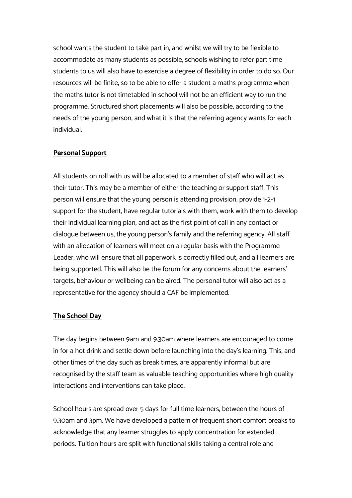school wants the student to take part in, and whilst we will try to be flexible to accommodate as many students as possible, schools wishing to refer part time students to us will also have to exercise a degree of flexibility in order to do so. Our resources will be finite, so to be able to offer a student a maths programme when the maths tutor is not timetabled in school will not be an efficient way to run the programme. Structured short placements will also be possible, according to the needs of the young person, and what it is that the referring agency wants for each individual.

#### **Personal Support**

All students on roll with us will be allocated to a member of staff who will act as their tutor. This may be a member of either the teaching or support staff. This person will ensure that the young person is attending provision, provide 1-2-1 support for the student, have regular tutorials with them, work with them to develop their individual learning plan, and act as the first point of call in any contact or dialogue between us, the young person's family and the referring agency. All staff with an allocation of learners will meet on a regular basis with the Programme Leader, who will ensure that all paperwork is correctly filled out, and all learners are being supported. This will also be the forum for any concerns about the learners' targets, behaviour or wellbeing can be aired. The personal tutor will also act as a representative for the agency should a CAF be implemented.

#### **The School Day**

The day begins between 9am and 9.30am where learners are encouraged to come in for a hot drink and settle down before launching into the day's learning. This, and other times of the day such as break times, are apparently informal but are recognised by the staff team as valuable teaching opportunities where high quality interactions and interventions can take place.

School hours are spread over 5 days for full time learners, between the hours of 9.30am and 3pm. We have developed a pattern of frequent short comfort breaks to acknowledge that any learner struggles to apply concentration for extended periods. Tuition hours are split with functional skills taking a central role and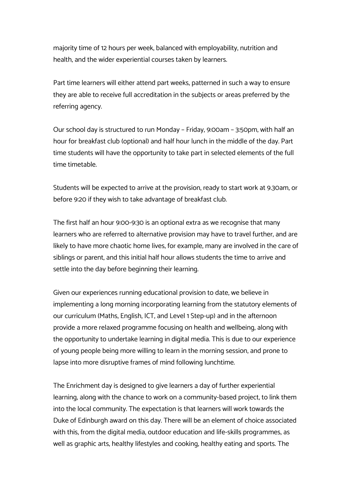majority time of 12 hours per week, balanced with employability, nutrition and health, and the wider experiential courses taken by learners.

Part time learners will either attend part weeks, patterned in such a way to ensure they are able to receive full accreditation in the subjects or areas preferred by the referring agency.

Our school day is structured to run Monday – Friday, 9:00am – 3:50pm, with half an hour for breakfast club (optional) and half hour lunch in the middle of the day. Part time students will have the opportunity to take part in selected elements of the full time timetable.

Students will be expected to arrive at the provision, ready to start work at 9.30am, or before 9:20 if they wish to take advantage of breakfast club.

The first half an hour 9:00-9:30 is an optional extra as we recognise that many learners who are referred to alternative provision may have to travel further, and are likely to have more chaotic home lives, for example, many are involved in the care of siblings or parent, and this initial half hour allows students the time to arrive and settle into the day before beginning their learning.

Given our experiences running educational provision to date, we believe in implementing a long morning incorporating learning from the statutory elements of our curriculum (Maths, English, ICT, and Level 1 Step-up) and in the afternoon provide a more relaxed programme focusing on health and wellbeing, along with the opportunity to undertake learning in digital media. This is due to our experience of young people being more willing to learn in the morning session, and prone to lapse into more disruptive frames of mind following lunchtime.

The Enrichment day is designed to give learners a day of further experiential learning, along with the chance to work on a community-based project, to link them into the local community. The expectation is that learners will work towards the Duke of Edinburgh award on this day. There will be an element of choice associated with this, from the digital media, outdoor education and life-skills programmes, as well as graphic arts, healthy lifestyles and cooking, healthy eating and sports. The